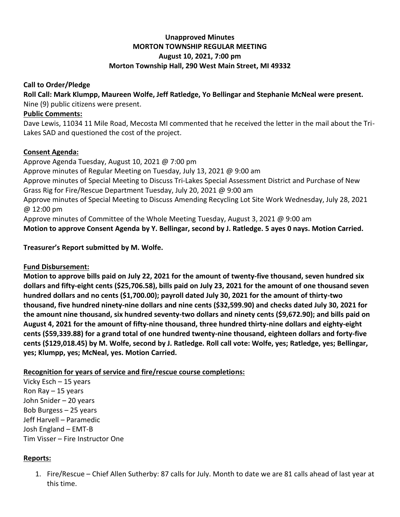## **Unapproved Minutes MORTON TOWNSHIP REGULAR MEETING August 10, 2021, 7:00 pm Morton Township Hall, 290 West Main Street, MI 49332**

#### **Call to Order/Pledge**

**Roll Call: Mark Klumpp, Maureen Wolfe, Jeff Ratledge, Yo Bellingar and Stephanie McNeal were present.** Nine (9) public citizens were present.

# **Public Comments:**

Dave Lewis, 11034 11 Mile Road, Mecosta MI commented that he received the letter in the mail about the Tri-Lakes SAD and questioned the cost of the project.

#### **Consent Agenda:**

Approve Agenda Tuesday, August 10, 2021 @ 7:00 pm Approve minutes of Regular Meeting on Tuesday, July 13, 2021 @ 9:00 am Approve minutes of Special Meeting to Discuss Tri-Lakes Special Assessment District and Purchase of New Grass Rig for Fire/Rescue Department Tuesday, July 20, 2021 @ 9:00 am Approve minutes of Special Meeting to Discuss Amending Recycling Lot Site Work Wednesday, July 28, 2021 @ 12:00 pm Approve minutes of Committee of the Whole Meeting Tuesday, August 3, 2021 @ 9:00 am

**Motion to approve Consent Agenda by Y. Bellingar, second by J. Ratledge. 5 ayes 0 nays. Motion Carried.**

### **Treasurer's Report submitted by M. Wolfe.**

### **Fund Disbursement:**

**Motion to approve bills paid on July 22, 2021 for the amount of twenty-five thousand, seven hundred six dollars and fifty-eight cents (\$25,706.58), bills paid on July 23, 2021 for the amount of one thousand seven hundred dollars and no cents (\$1,700.00); payroll dated July 30, 2021 for the amount of thirty-two thousand, five hundred ninety-nine dollars and nine cents (\$32,599.90) and checks dated July 30, 2021 for the amount nine thousand, six hundred seventy-two dollars and ninety cents (\$9,672.90); and bills paid on August 4, 2021 for the amount of fifty-nine thousand, three hundred thirty-nine dollars and eighty-eight cents (\$59,339.88) for a grand total of one hundred twenty-nine thousand, eighteen dollars and forty-five cents (\$129,018.45) by M. Wolfe, second by J. Ratledge. Roll call vote: Wolfe, yes; Ratledge, yes; Bellingar, yes; Klumpp, yes; McNeal, yes. Motion Carried.** 

### **Recognition for years of service and fire/rescue course completions:**

Vicky Esch – 15 years Ron Ray  $-15$  years John Snider – 20 years Bob Burgess – 25 years Jeff Harvell – Paramedic Josh England – EMT-B Tim Visser – Fire Instructor One

### **Reports:**

1. Fire/Rescue – Chief Allen Sutherby: 87 calls for July. Month to date we are 81 calls ahead of last year at this time.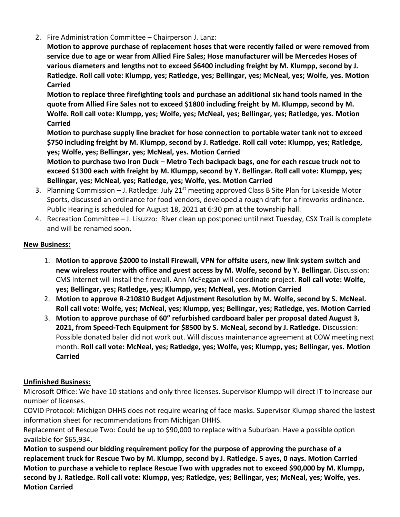2. Fire Administration Committee – Chairperson J. Lanz:

**Motion to approve purchase of replacement hoses that were recently failed or were removed from service due to age or wear from Allied Fire Sales; Hose manufacturer will be Mercedes Hoses of various diameters and lengths not to exceed \$6400 including freight by M. Klumpp, second by J. Ratledge. Roll call vote: Klumpp, yes; Ratledge, yes; Bellingar, yes; McNeal, yes; Wolfe, yes. Motion Carried**

**Motion to replace three firefighting tools and purchase an additional six hand tools named in the quote from Allied Fire Sales not to exceed \$1800 including freight by M. Klumpp, second by M. Wolfe. Roll call vote: Klumpp, yes; Wolfe, yes; McNeal, yes; Bellingar, yes; Ratledge, yes. Motion Carried**

**Motion to purchase supply line bracket for hose connection to portable water tank not to exceed \$750 including freight by M. Klumpp, second by J. Ratledge. Roll call vote: Klumpp, yes; Ratledge, yes; Wolfe, yes; Bellingar, yes; McNeal, yes. Motion Carried**

**Motion to purchase two Iron Duck – Metro Tech backpack bags, one for each rescue truck not to exceed \$1300 each with freight by M. Klumpp, second by Y. Bellingar. Roll call vote: Klumpp, yes; Bellingar, yes; McNeal, yes; Ratledge, yes; Wolfe, yes. Motion Carried**

- 3. Planning Commission J. Ratledge: July 21<sup>st</sup> meeting approved Class B Site Plan for Lakeside Motor Sports, discussed an ordinance for food vendors, developed a rough draft for a fireworks ordinance. Public Hearing is scheduled for August 18, 2021 at 6:30 pm at the township hall.
- 4. Recreation Committee J. Lisuzzo: River clean up postponed until next Tuesday, CSX Trail is complete and will be renamed soon.

### **New Business:**

- 1. **Motion to approve \$2000 to install Firewall, VPN for offsite users, new link system switch and new wireless router with office and guest access by M. Wolfe, second by Y. Bellingar.** Discussion: CMS Internet will install the firewall. Ann McFeggan will coordinate project. **Roll call vote: Wolfe, yes; Bellingar, yes; Ratledge, yes; Klumpp, yes; McNeal, yes. Motion Carried**
- 2. **Motion to approve R-210810 Budget Adjustment Resolution by M. Wolfe, second by S. McNeal. Roll call vote: Wolfe, yes; McNeal, yes; Klumpp, yes; Bellingar, yes; Ratledge, yes. Motion Carried**
- 3. **Motion to approve purchase of 60" refurbished cardboard baler per proposal dated August 3, 2021, from Speed-Tech Equipment for \$8500 by S. McNeal, second by J. Ratledge.** Discussion: Possible donated baler did not work out. Will discuss maintenance agreement at COW meeting next month. **Roll call vote: McNeal, yes; Ratledge, yes; Wolfe, yes; Klumpp, yes; Bellingar, yes. Motion Carried**

# **Unfinished Business:**

Microsoft Office: We have 10 stations and only three licenses. Supervisor Klumpp will direct IT to increase our number of licenses.

COVID Protocol: Michigan DHHS does not require wearing of face masks. Supervisor Klumpp shared the lastest information sheet for recommendations from Michigan DHHS.

Replacement of Rescue Two: Could be up to \$90,000 to replace with a Suburban. Have a possible option available for \$65,934.

**Motion to suspend our bidding requirement policy for the purpose of approving the purchase of a replacement truck for Rescue Two by M. Klumpp, second by J. Ratledge. 5 ayes, 0 nays. Motion Carried Motion to purchase a vehicle to replace Rescue Two with upgrades not to exceed \$90,000 by M. Klumpp, second by J. Ratledge. Roll call vote: Klumpp, yes; Ratledge, yes; Bellingar, yes; McNeal, yes; Wolfe, yes. Motion Carried**